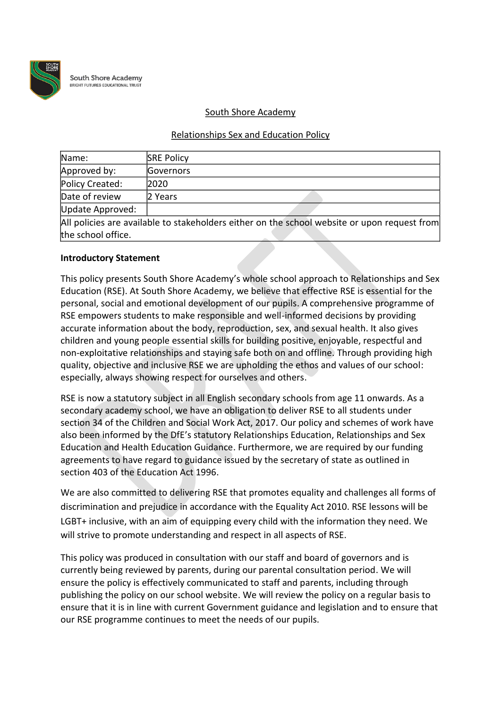

**South Shore Academy HT FUTURES EDUCATIONAL TRUS** 

#### South Shore Academy

#### Relationships Sex and Education Policy

| Name:              | <b>SRE Policy</b>                                                                            |
|--------------------|----------------------------------------------------------------------------------------------|
| Approved by:       | Governors                                                                                    |
| Policy Created:    | 2020                                                                                         |
| Date of review     | 2 Years                                                                                      |
| Update Approved:   |                                                                                              |
|                    | All policies are available to stakeholders either on the school website or upon request from |
| the school office. |                                                                                              |

#### **Introductory Statement**

This policy presents South Shore Academy's whole school approach to Relationships and Sex Education (RSE). At South Shore Academy, we believe that effective RSE is essential for the personal, social and emotional development of our pupils. A comprehensive programme of RSE empowers students to make responsible and well-informed decisions by providing accurate information about the body, reproduction, sex, and sexual health. It also gives children and young people essential skills for building positive, enjoyable, respectful and non-exploitative relationships and staying safe both on and offline. Through providing high quality, objective and inclusive RSE we are upholding the ethos and values of our school: especially, always showing respect for ourselves and others.

RSE is now a statutory subject in all English secondary schools from age 11 onwards. As a secondary academy school, we have an obligation to deliver RSE to all students under section 34 of the Children and Social Work Act, 2017. Our policy and schemes of work have also been informed by the DfE's statutory Relationships Education, Relationships and Sex Education and Health Education Guidance. Furthermore, we are required by our funding agreements to have regard to guidance issued by the secretary of state as outlined in section 403 of the Education Act 1996.

We are also committed to delivering RSE that promotes equality and challenges all forms of discrimination and prejudice in accordance with the Equality Act 2010. RSE lessons will be LGBT+ inclusive, with an aim of equipping every child with the information they need. We will strive to promote understanding and respect in all aspects of RSE.

This policy was produced in consultation with our staff and board of governors and is currently being reviewed by parents, during our parental consultation period. We will ensure the policy is effectively communicated to staff and parents, including through publishing the policy on our school website. We will review the policy on a regular basis to ensure that it is in line with current Government guidance and legislation and to ensure that our RSE programme continues to meet the needs of our pupils.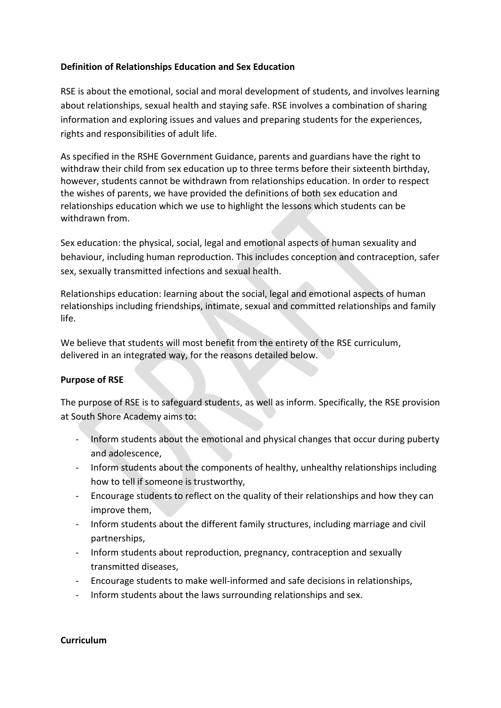### **Definition of Relationships Education and Sex Education**

RSE is about the emotional, social and moral development of students, and involves learning about relationships, sexual health and staying safe. RSE involves a combination of sharing information and exploring issues and values and preparing students for the experiences, rights and responsibilities of adult life.

As specified in the RSHE Government Guidance, parents and guardians have the right to withdraw their child from sex education up to three terms before their sixteenth birthday, however, students cannot be withdrawn from relationships education. In order to respect the wishes of parents, we have provided the definitions of both sex education and relationships education which we use to highlight the lessons which students can be withdrawn from.

Sex education: the physical, social, legal and emotional aspects of human sexuality and behaviour, including human reproduction. This includes conception and contraception, safer sex, sexually transmitted infections and sexual health.

Relationships education: learning about the social, legal and emotional aspects of human relationships including friendships, intimate, sexual and committed relationships and family life.

We believe that students will most benefit from the entirety of the RSE curriculum, delivered in an integrated way, for the reasons detailed below.

### **Purpose of RSE**

The purpose of RSE is to safeguard students, as well as inform. Specifically, the RSE provision at South Shore Academy aims to:

- Inform students about the emotional and physical changes that occur during puberty and adolescence,
- Inform students about the components of healthy, unhealthy relationships including how to tell if someone is trustworthy,
- Encourage students to reflect on the quality of their relationships and how they can improve them,
- Inform students about the different family structures, including marriage and civil partnerships,
- Inform students about reproduction, pregnancy, contraception and sexually transmitted diseases,
- Encourage students to make well-informed and safe decisions in relationships,
- Inform students about the laws surrounding relationships and sex.

#### **Curriculum**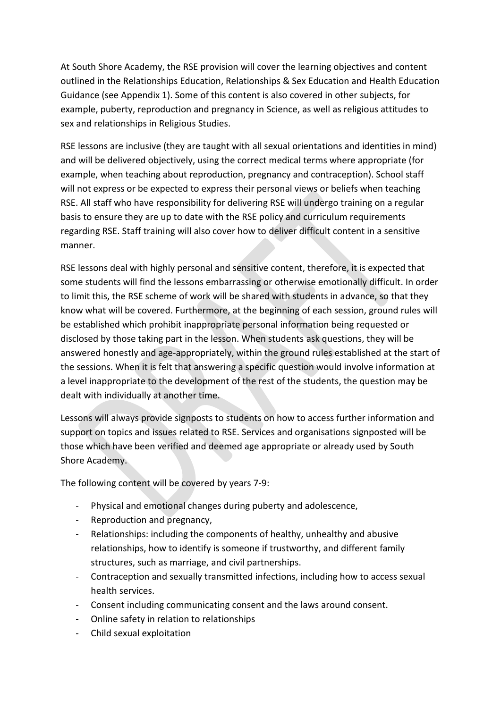At South Shore Academy, the RSE provision will cover the learning objectives and content outlined in the Relationships Education, Relationships & Sex Education and Health Education Guidance (see Appendix 1). Some of this content is also covered in other subjects, for example, puberty, reproduction and pregnancy in Science, as well as religious attitudes to sex and relationships in Religious Studies.

RSE lessons are inclusive (they are taught with all sexual orientations and identities in mind) and will be delivered objectively, using the correct medical terms where appropriate (for example, when teaching about reproduction, pregnancy and contraception). School staff will not express or be expected to express their personal views or beliefs when teaching RSE. All staff who have responsibility for delivering RSE will undergo training on a regular basis to ensure they are up to date with the RSE policy and curriculum requirements regarding RSE. Staff training will also cover how to deliver difficult content in a sensitive manner.

RSE lessons deal with highly personal and sensitive content, therefore, it is expected that some students will find the lessons embarrassing or otherwise emotionally difficult. In order to limit this, the RSE scheme of work will be shared with students in advance, so that they know what will be covered. Furthermore, at the beginning of each session, ground rules will be established which prohibit inappropriate personal information being requested or disclosed by those taking part in the lesson. When students ask questions, they will be answered honestly and age-appropriately, within the ground rules established at the start of the sessions. When it is felt that answering a specific question would involve information at a level inappropriate to the development of the rest of the students, the question may be dealt with individually at another time.

Lessons will always provide signposts to students on how to access further information and support on topics and issues related to RSE. Services and organisations signposted will be those which have been verified and deemed age appropriate or already used by South Shore Academy.

The following content will be covered by years 7-9:

- Physical and emotional changes during puberty and adolescence,
- Reproduction and pregnancy,
- Relationships: including the components of healthy, unhealthy and abusive relationships, how to identify is someone if trustworthy, and different family structures, such as marriage, and civil partnerships.
- Contraception and sexually transmitted infections, including how to access sexual health services.
- Consent including communicating consent and the laws around consent.
- Online safety in relation to relationships
- Child sexual exploitation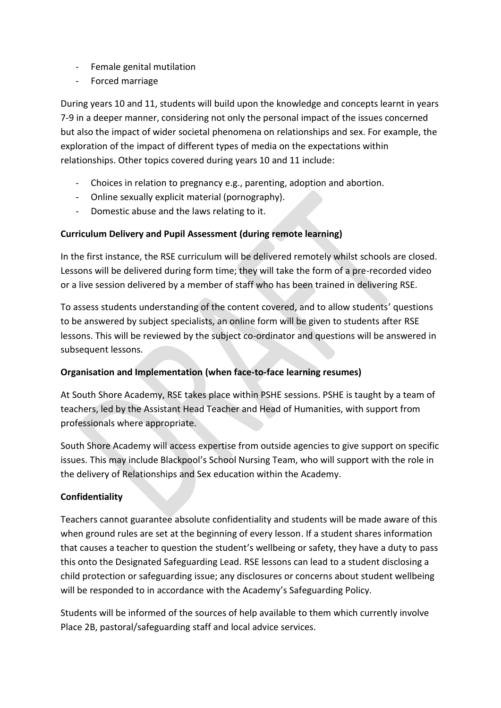- Female genital mutilation
- Forced marriage

During years 10 and 11, students will build upon the knowledge and concepts learnt in years 7-9 in a deeper manner, considering not only the personal impact of the issues concerned but also the impact of wider societal phenomena on relationships and sex. For example, the exploration of the impact of different types of media on the expectations within relationships. Other topics covered during years 10 and 11 include:

- Choices in relation to pregnancy e.g., parenting, adoption and abortion.
- Online sexually explicit material (pornography).
- Domestic abuse and the laws relating to it.

# **Curriculum Delivery and Pupil Assessment (during remote learning)**

In the first instance, the RSE curriculum will be delivered remotely whilst schools are closed. Lessons will be delivered during form time; they will take the form of a pre-recorded video or a live session delivered by a member of staff who has been trained in delivering RSE.

To assess students understanding of the content covered, and to allow students' questions to be answered by subject specialists, an online form will be given to students after RSE lessons. This will be reviewed by the subject co-ordinator and questions will be answered in subsequent lessons.

# **Organisation and Implementation (when face-to-face learning resumes)**

At South Shore Academy, RSE takes place within PSHE sessions. PSHE is taught by a team of teachers, led by the Assistant Head Teacher and Head of Humanities, with support from professionals where appropriate.

South Shore Academy will access expertise from outside agencies to give support on specific issues. This may include Blackpool's School Nursing Team, who will support with the role in the delivery of Relationships and Sex education within the Academy.

# **Confidentiality**

Teachers cannot guarantee absolute confidentiality and students will be made aware of this when ground rules are set at the beginning of every lesson. If a student shares information that causes a teacher to question the student's wellbeing or safety, they have a duty to pass this onto the Designated Safeguarding Lead. RSE lessons can lead to a student disclosing a child protection or safeguarding issue; any disclosures or concerns about student wellbeing will be responded to in accordance with the Academy's Safeguarding Policy.

Students will be informed of the sources of help available to them which currently involve Place 2B, pastoral/safeguarding staff and local advice services.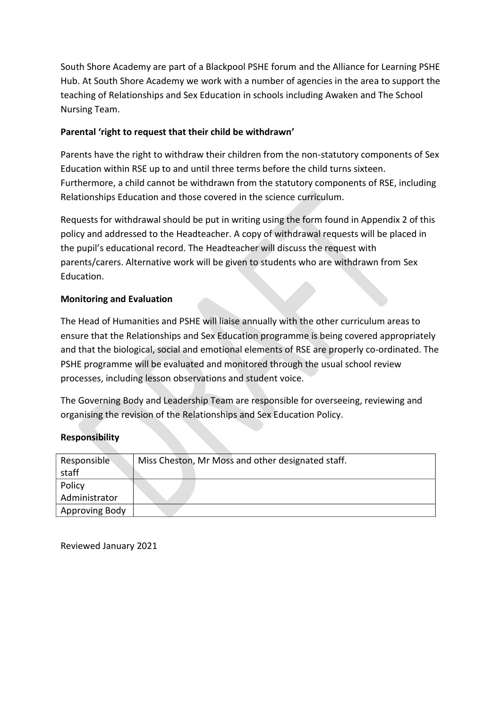South Shore Academy are part of a Blackpool PSHE forum and the Alliance for Learning PSHE Hub. At South Shore Academy we work with a number of agencies in the area to support the teaching of Relationships and Sex Education in schools including Awaken and The School Nursing Team.

## **Parental 'right to request that their child be withdrawn'**

Parents have the right to withdraw their children from the non-statutory components of Sex Education within RSE up to and until three terms before the child turns sixteen. Furthermore, a child cannot be withdrawn from the statutory components of RSE, including Relationships Education and those covered in the science curriculum.

Requests for withdrawal should be put in writing using the form found in Appendix 2 of this policy and addressed to the Headteacher. A copy of withdrawal requests will be placed in the pupil's educational record. The Headteacher will discuss the request with parents/carers. Alternative work will be given to students who are withdrawn from Sex Education.

## **Monitoring and Evaluation**

The Head of Humanities and PSHE will liaise annually with the other curriculum areas to ensure that the Relationships and Sex Education programme is being covered appropriately and that the biological, social and emotional elements of RSE are properly co-ordinated. The PSHE programme will be evaluated and monitored through the usual school review processes, including lesson observations and student voice.

The Governing Body and Leadership Team are responsible for overseeing, reviewing and organising the revision of the Relationships and Sex Education Policy.

# **Responsibility**

| Responsible<br>staff | Miss Cheston, Mr Moss and other designated staff. |
|----------------------|---------------------------------------------------|
| Policy               |                                                   |
| Administrator        |                                                   |
| Approving Body       |                                                   |

Reviewed January 2021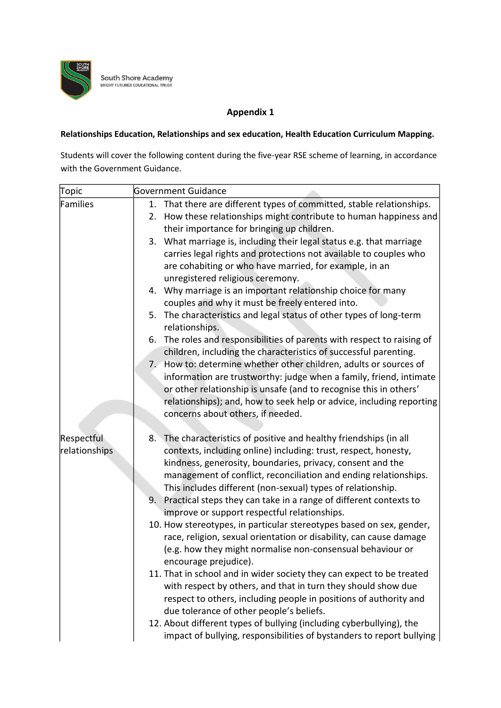

**South Shore Academy**<br>BRIGHT FUTURES EDUCATIONAL TRUST

## **Appendix 1**

## **Relationships Education, Relationships and sex education, Health Education Curriculum Mapping.**

Students will cover the following content during the five-year RSE scheme of learning, in accordance with the Government Guidance.

| Topic                       | <b>Government Guidance</b>                                                                                                                                                                                                                                                                                                                                                                                                                                           |
|-----------------------------|----------------------------------------------------------------------------------------------------------------------------------------------------------------------------------------------------------------------------------------------------------------------------------------------------------------------------------------------------------------------------------------------------------------------------------------------------------------------|
| Families                    | That there are different types of committed, stable relationships.<br>1.<br>How these relationships might contribute to human happiness and<br>2.<br>their importance for bringing up children.                                                                                                                                                                                                                                                                      |
|                             | What marriage is, including their legal status e.g. that marriage<br>3.<br>carries legal rights and protections not available to couples who<br>are cohabiting or who have married, for example, in an<br>unregistered religious ceremony.                                                                                                                                                                                                                           |
|                             | 4. Why marriage is an important relationship choice for many<br>couples and why it must be freely entered into.                                                                                                                                                                                                                                                                                                                                                      |
|                             | 5. The characteristics and legal status of other types of long-term<br>relationships.                                                                                                                                                                                                                                                                                                                                                                                |
|                             | The roles and responsibilities of parents with respect to raising of<br>6.<br>children, including the characteristics of successful parenting.                                                                                                                                                                                                                                                                                                                       |
|                             | 7. How to: determine whether other children, adults or sources of<br>information are trustworthy: judge when a family, friend, intimate<br>or other relationship is unsafe (and to recognise this in others'<br>relationships); and, how to seek help or advice, including reporting<br>concerns about others, if needed.                                                                                                                                            |
| Respectful<br>relationships | The characteristics of positive and healthy friendships (in all<br>8.<br>contexts, including online) including: trust, respect, honesty,<br>kindness, generosity, boundaries, privacy, consent and the<br>management of conflict, reconciliation and ending relationships.<br>This includes different (non-sexual) types of relationship.<br>Practical steps they can take in a range of different contexts to<br>9.<br>improve or support respectful relationships. |
|                             | 10. How stereotypes, in particular stereotypes based on sex, gender,<br>race, religion, sexual orientation or disability, can cause damage<br>(e.g. how they might normalise non-consensual behaviour or<br>encourage prejudice).                                                                                                                                                                                                                                    |
|                             | 11. That in school and in wider society they can expect to be treated<br>with respect by others, and that in turn they should show due<br>respect to others, including people in positions of authority and<br>due tolerance of other people's beliefs.                                                                                                                                                                                                              |
|                             | 12. About different types of bullying (including cyberbullying), the<br>impact of bullying, responsibilities of bystanders to report bullying                                                                                                                                                                                                                                                                                                                        |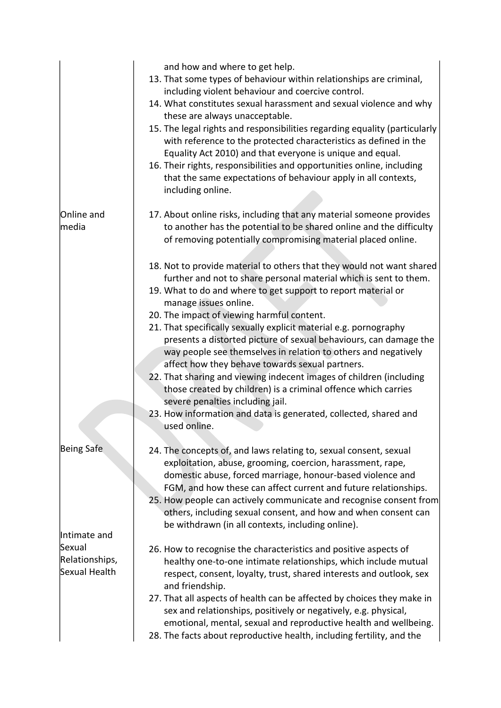|                                                           | and how and where to get help.<br>13. That some types of behaviour within relationships are criminal,<br>including violent behaviour and coercive control.<br>14. What constitutes sexual harassment and sexual violence and why<br>these are always unacceptable.<br>15. The legal rights and responsibilities regarding equality (particularly<br>with reference to the protected characteristics as defined in the<br>Equality Act 2010) and that everyone is unique and equal.<br>16. Their rights, responsibilities and opportunities online, including<br>that the same expectations of behaviour apply in all contexts,<br>including online.                                                                                                                                                                |
|-----------------------------------------------------------|--------------------------------------------------------------------------------------------------------------------------------------------------------------------------------------------------------------------------------------------------------------------------------------------------------------------------------------------------------------------------------------------------------------------------------------------------------------------------------------------------------------------------------------------------------------------------------------------------------------------------------------------------------------------------------------------------------------------------------------------------------------------------------------------------------------------|
| Online and<br>media                                       | 17. About online risks, including that any material someone provides<br>to another has the potential to be shared online and the difficulty<br>of removing potentially compromising material placed online.                                                                                                                                                                                                                                                                                                                                                                                                                                                                                                                                                                                                        |
|                                                           | 18. Not to provide material to others that they would not want shared<br>further and not to share personal material which is sent to them.<br>19. What to do and where to get support to report material or<br>manage issues online.<br>20. The impact of viewing harmful content.<br>21. That specifically sexually explicit material e.g. pornography<br>presents a distorted picture of sexual behaviours, can damage the<br>way people see themselves in relation to others and negatively<br>affect how they behave towards sexual partners.<br>22. That sharing and viewing indecent images of children (including<br>those created by children) is a criminal offence which carries<br>severe penalties including jail.<br>23. How information and data is generated, collected, shared and<br>used online. |
| Being Safe                                                | 24. The concepts of, and laws relating to, sexual consent, sexual<br>exploitation, abuse, grooming, coercion, harassment, rape,<br>domestic abuse, forced marriage, honour-based violence and<br>FGM, and how these can affect current and future relationships.<br>25. How people can actively communicate and recognise consent from<br>others, including sexual consent, and how and when consent can<br>be withdrawn (in all contexts, including online).                                                                                                                                                                                                                                                                                                                                                      |
| Intimate and<br>Sexual<br>Relationships,<br>Sexual Health | 26. How to recognise the characteristics and positive aspects of<br>healthy one-to-one intimate relationships, which include mutual<br>respect, consent, loyalty, trust, shared interests and outlook, sex<br>and friendship.<br>27. That all aspects of health can be affected by choices they make in<br>sex and relationships, positively or negatively, e.g. physical,<br>emotional, mental, sexual and reproductive health and wellbeing.<br>28. The facts about reproductive health, including fertility, and the                                                                                                                                                                                                                                                                                            |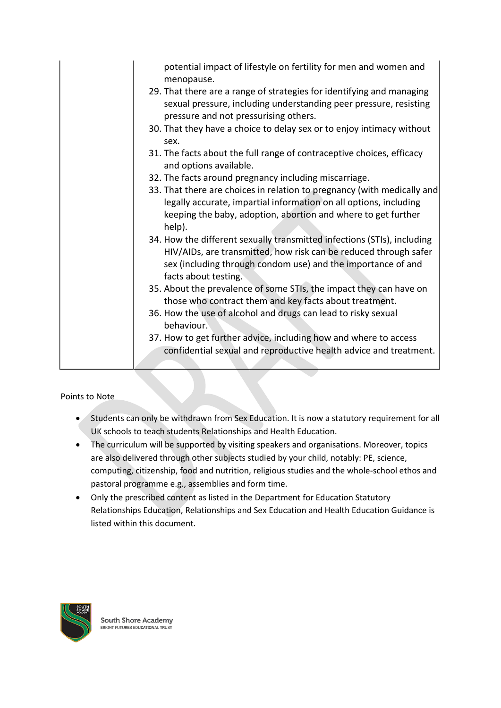| potential impact of lifestyle on fertility for men and women and<br>menopause.                                                                                                                                                      |
|-------------------------------------------------------------------------------------------------------------------------------------------------------------------------------------------------------------------------------------|
| 29. That there are a range of strategies for identifying and managing<br>sexual pressure, including understanding peer pressure, resisting<br>pressure and not pressurising others.                                                 |
| 30. That they have a choice to delay sex or to enjoy intimacy without<br>sex.                                                                                                                                                       |
| 31. The facts about the full range of contraceptive choices, efficacy<br>and options available.                                                                                                                                     |
| 32. The facts around pregnancy including miscarriage.                                                                                                                                                                               |
| 33. That there are choices in relation to pregnancy (with medically and<br>legally accurate, impartial information on all options, including<br>keeping the baby, adoption, abortion and where to get further<br>help).             |
| 34. How the different sexually transmitted infections (STIs), including<br>HIV/AIDs, are transmitted, how risk can be reduced through safer<br>sex (including through condom use) and the importance of and<br>facts about testing. |
| 35. About the prevalence of some STIs, the impact they can have on<br>those who contract them and key facts about treatment.                                                                                                        |
| 36. How the use of alcohol and drugs can lead to risky sexual<br>behaviour.                                                                                                                                                         |
| 37. How to get further advice, including how and where to access<br>confidential sexual and reproductive health advice and treatment.                                                                                               |
|                                                                                                                                                                                                                                     |

Points to Note

- Students can only be withdrawn from Sex Education. It is now a statutory requirement for all UK schools to teach students Relationships and Health Education.
- The curriculum will be supported by visiting speakers and organisations. Moreover, topics are also delivered through other subjects studied by your child, notably: PE, science, computing, citizenship, food and nutrition, religious studies and the whole-school ethos and pastoral programme e.g., assemblies and form time.
- Only the prescribed content as listed in the Department for Education Statutory Relationships Education, Relationships and Sex Education and Health Education Guidance is listed within this document.